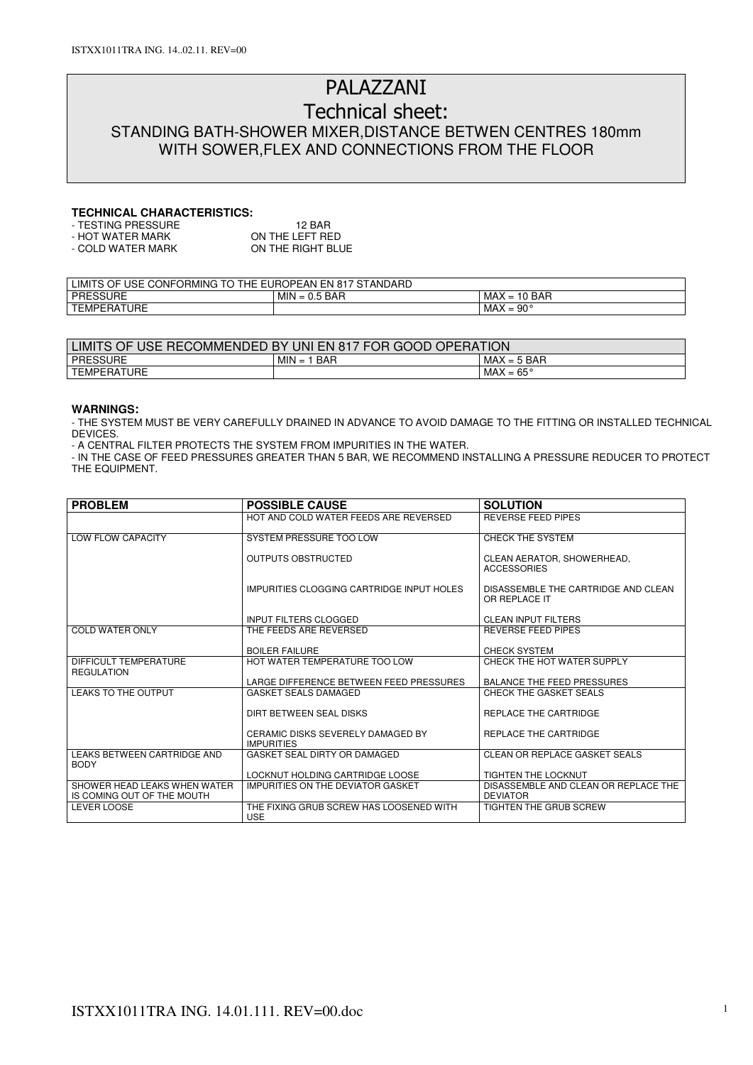# PALAZZANI

# Technical sheet: STANDING BATH-SHOWER MIXER,DISTANCE BETWEN CENTRES 180mm WITH SOWER,FLEX AND CONNECTIONS FROM THE FLOOR

### **TECHNICAL CHARACTERISTICS:**

| - TESTING PRESSURE | 12 BAR            |
|--------------------|-------------------|
| - HOT WATER MARK   | ON THE LEFT RED   |
| - COLD WATER MARK  | ON THE RIGHT BLUE |

| <b>USE</b><br><b>THE</b><br>EUROPEAN<br>' STANDARD<br>EN<br><b>LIMITS</b><br><b>CONFORMING</b><br>$T^{\wedge}$<br>817<br>OF.<br>1 U<br>$\cdot$ |                         |                                                                                                    |  |  |
|------------------------------------------------------------------------------------------------------------------------------------------------|-------------------------|----------------------------------------------------------------------------------------------------|--|--|
| <b>PRESSURE</b>                                                                                                                                | MIN<br>5 BAR<br>$= 0.5$ | MAX<br><b>BAR</b><br>$\overline{a}$<br>$\overline{\phantom{0}}$<br>1 U<br>$\overline{\phantom{0}}$ |  |  |
| <b>TEMPERATURE</b>                                                                                                                             |                         | $-90^{\circ}$<br>MAX<br>-<br>$\overline{\phantom{0}}$                                              |  |  |

| : RECOMMENDED BY<br><b>OPERATION</b><br><b>LIMITS OF</b><br>UNI EN 817 FOR<br>GOOD I<br><b>USE</b> |                          |                             |  |  |
|----------------------------------------------------------------------------------------------------|--------------------------|-----------------------------|--|--|
| <b>PRESSURE</b>                                                                                    | <b>MIN</b><br>BAR<br>$=$ | . = 5 BAR<br>MAX            |  |  |
| TURE<br><b>TEMPERATI</b>                                                                           |                          | MAX<br>$.65^{\circ}$<br>$=$ |  |  |

#### **WARNINGS:**

- THE SYSTEM MUST BE VERY CAREFULLY DRAINED IN ADVANCE TO AVOID DAMAGE TO THE FITTING OR INSTALLED TECHNICAL DEVICES.

- A CENTRAL FILTER PROTECTS THE SYSTEM FROM IMPURITIES IN THE WATER.

- IN THE CASE OF FEED PRESSURES GREATER THAN 5 BAR, WE RECOMMEND INSTALLING A PRESSURE REDUCER TO PROTECT THE EQUIPMENT.

| <b>PROBLEM</b>                                             | <b>POSSIBLE CAUSE</b>                                  | <b>SOLUTION</b>                                         |
|------------------------------------------------------------|--------------------------------------------------------|---------------------------------------------------------|
|                                                            | HOT AND COLD WATER FEEDS ARE REVERSED                  | <b>REVERSE FEED PIPES</b>                               |
| LOW FLOW CAPACITY                                          | SYSTEM PRESSURE TOO LOW                                | CHECK THE SYSTEM                                        |
|                                                            | <b>OUTPUTS OBSTRUCTED</b>                              | CLEAN AERATOR, SHOWERHEAD,<br><b>ACCESSORIES</b>        |
|                                                            | IMPURITIES CLOGGING CARTRIDGE INPUT HOLES              | DISASSEMBLE THE CARTRIDGE AND CLEAN<br>OR REPLACE IT    |
|                                                            | <b>INPUT FILTERS CLOGGED</b>                           | <b>CLEAN INPUT FILTERS</b>                              |
| <b>COLD WATER ONLY</b>                                     | THE FEEDS ARE REVERSED                                 | <b>REVERSE FEED PIPES</b>                               |
|                                                            | <b>BOILER FAILURE</b>                                  | <b>CHECK SYSTEM</b>                                     |
| DIFFICULT TEMPERATURE<br><b>REGULATION</b>                 | HOT WATER TEMPERATURE TOO LOW                          | CHECK THE HOT WATER SUPPLY                              |
|                                                            | LARGE DIFFERENCE BETWEEN FEED PRESSURES                | <b>BALANCE THE FEED PRESSURES</b>                       |
| LEAKS TO THE OUTPUT                                        | <b>GASKET SEALS DAMAGED</b>                            | CHECK THE GASKET SEALS                                  |
|                                                            | DIRT BETWEEN SEAL DISKS                                | REPLACE THE CARTRIDGE                                   |
|                                                            | CERAMIC DISKS SEVERELY DAMAGED BY<br><b>IMPURITIES</b> | REPLACE THE CARTRIDGE                                   |
| LEAKS BETWEEN CARTRIDGE AND<br><b>BODY</b>                 | GASKET SEAL DIRTY OR DAMAGED                           | CLEAN OR REPLACE GASKET SEALS                           |
|                                                            | LOCKNUT HOLDING CARTRIDGE LOOSE                        | TIGHTEN THE LOCKNUT                                     |
| SHOWER HEAD LEAKS WHEN WATER<br>IS COMING OUT OF THE MOUTH | <b>IMPURITIES ON THE DEVIATOR GASKET</b>               | DISASSEMBLE AND CLEAN OR REPLACE THE<br><b>DEVIATOR</b> |
| <b>LEVER LOOSE</b>                                         | THE FIXING GRUB SCREW HAS LOOSENED WITH<br><b>USE</b>  | TIGHTEN THE GRUB SCREW                                  |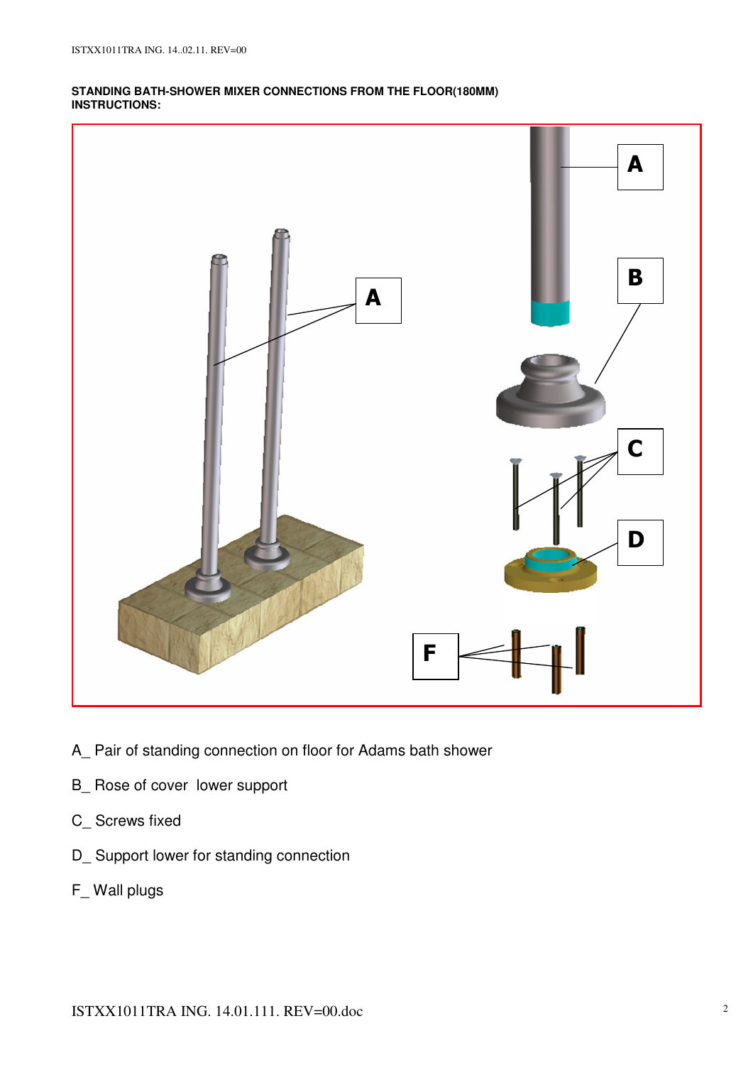## **STANDING BATH-SHOWER MIXER CONNECTIONS FROM THE FLOOR(180MM) INSTRUCTIONS:**



- A\_ Pair of standing connection on floor for Adams bath shower
- B\_ Rose of cover lower support
- C\_ Screws fixed
- D\_ Support lower for standing connection
- F\_ Wall plugs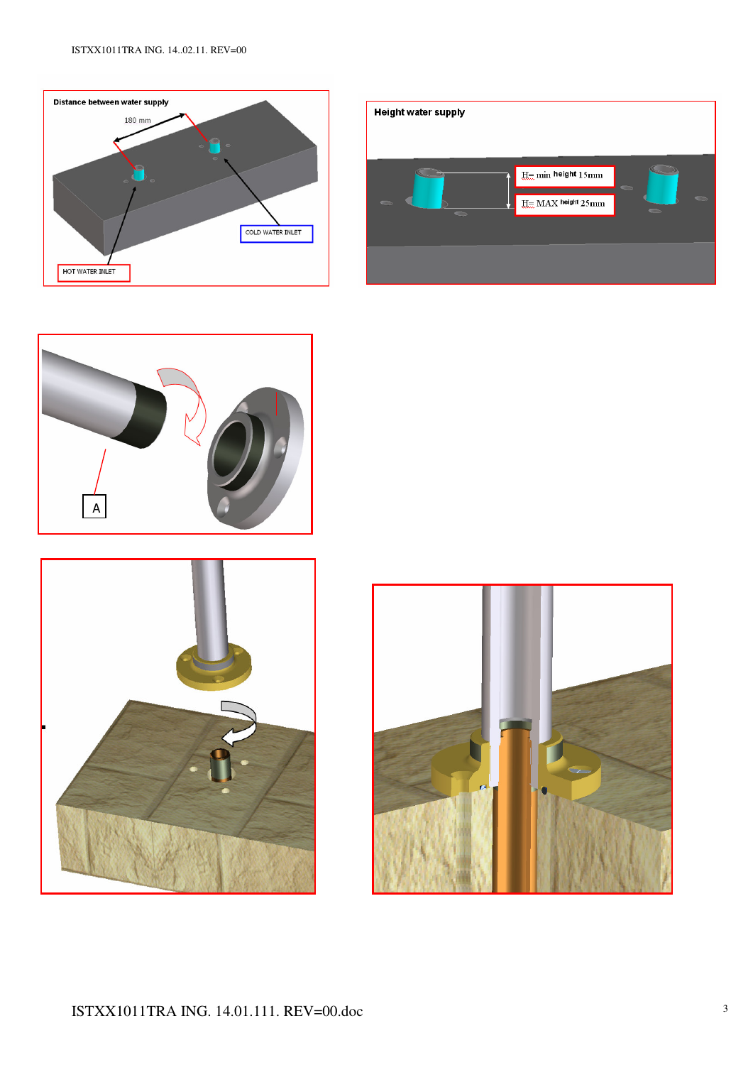







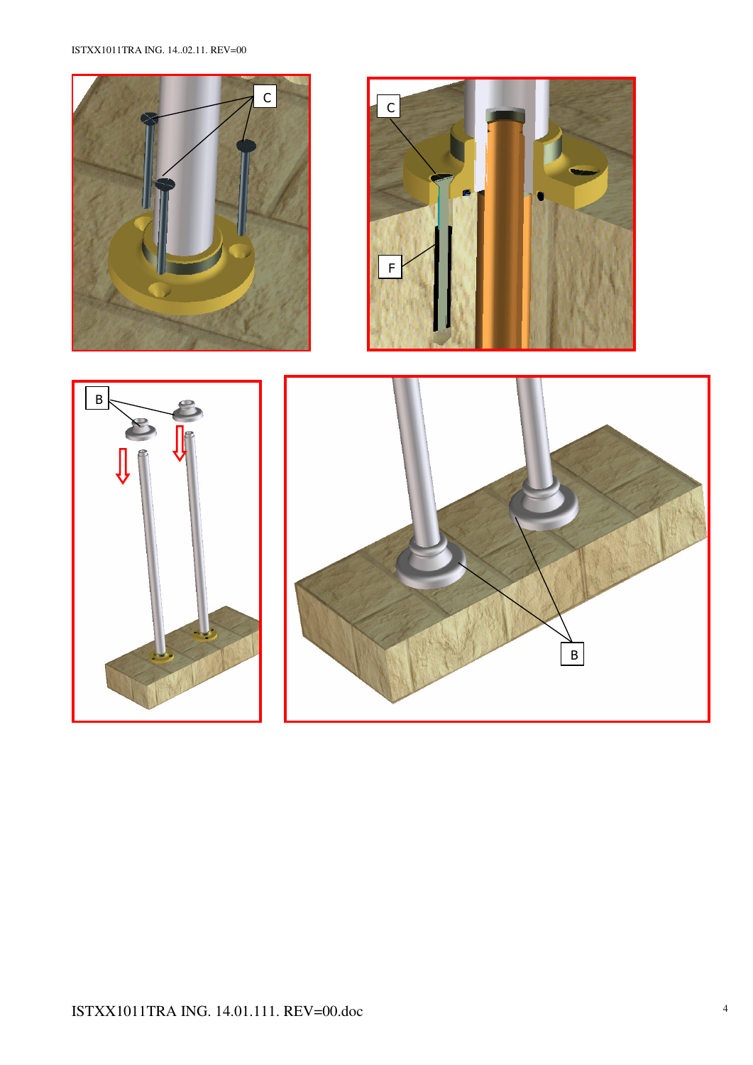